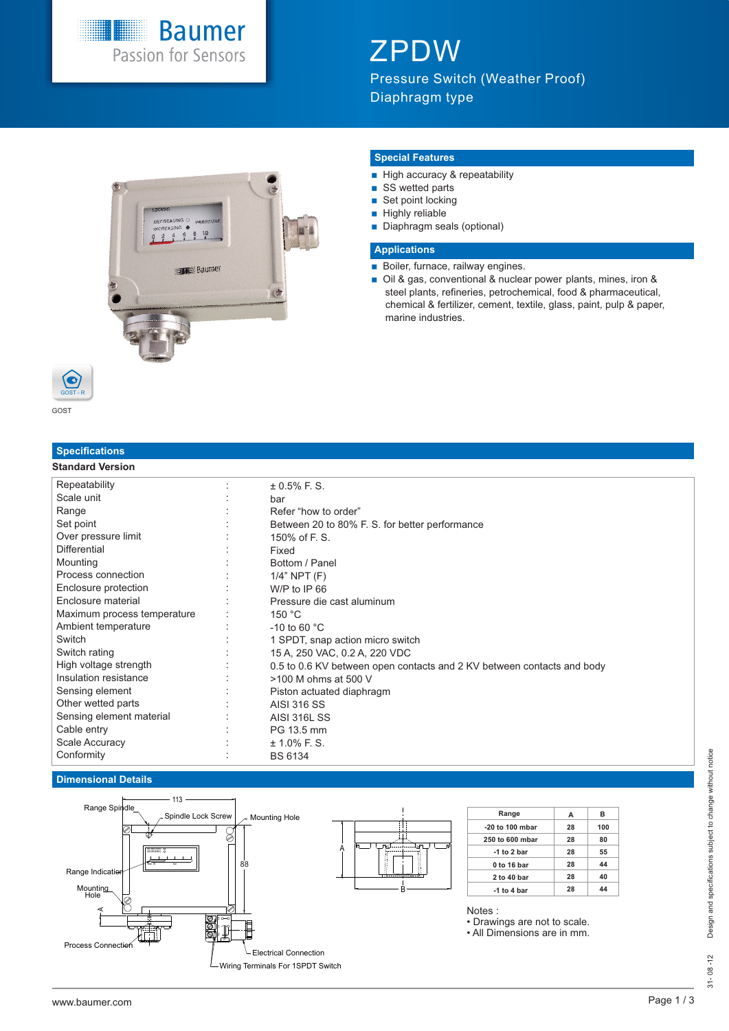# **Baumer**<br>Passion for Sensors

## ZPDW

Pressure Switch (Weather Proof) Diaphragm type



GOST

GOST - R

G

### **Specifications**

### **Standard Version**

### **Special Features**

- High accuracy & repeatability
- SS wetted parts
- $\blacksquare$  Set point locking
- $\blacksquare$  Highly reliable
- Diaphragm seals (optional)

#### **Applications**

- **Boiler, furnace, railway engines.**
- Oil & gas, conventional & nuclear power plants, mines, iron & steel plants, refineries, petrochemical, food & pharmaceutical, chemical & fertilizer, cement, textile, glass, paint, pulp & paper, marine industries.

| Repeatability               | $\pm$ 0.5% F. S.                                                       |  |
|-----------------------------|------------------------------------------------------------------------|--|
| Scale unit                  | bar                                                                    |  |
| Range                       | Refer "how to order"                                                   |  |
| Set point                   | Between 20 to 80% F. S. for better performance                         |  |
| Over pressure limit         | 150% of F. S.                                                          |  |
| <b>Differential</b>         | Fixed                                                                  |  |
| Mounting                    | Bottom / Panel                                                         |  |
| Process connection          | $1/4$ " NPT $(F)$                                                      |  |
| Enclosure protection        | W/P to IP 66                                                           |  |
| Enclosure material          | Pressure die cast aluminum                                             |  |
| Maximum process temperature | 150 °C                                                                 |  |
| Ambient temperature         | $-10$ to 60 $^{\circ}$ C                                               |  |
| Switch                      | 1 SPDT, snap action micro switch                                       |  |
| Switch rating               | 15 A, 250 VAC, 0.2 A, 220 VDC                                          |  |
| High voltage strength       | 0.5 to 0.6 KV between open contacts and 2 KV between contacts and body |  |
| Insulation resistance       | >100 M ohms at 500 V                                                   |  |
| Sensing element             | Piston actuated diaphragm                                              |  |
| Other wetted parts          | <b>AISI 316 SS</b>                                                     |  |
| Sensing element material    | <b>AISI 316L SS</b>                                                    |  |
| Cable entry                 | PG 13.5 mm                                                             |  |
| <b>Scale Accuracy</b>       | $± 1.0\%$ F. S.                                                        |  |
| Conformity                  | <b>BS 6134</b>                                                         |  |

#### **Dimensional Details**

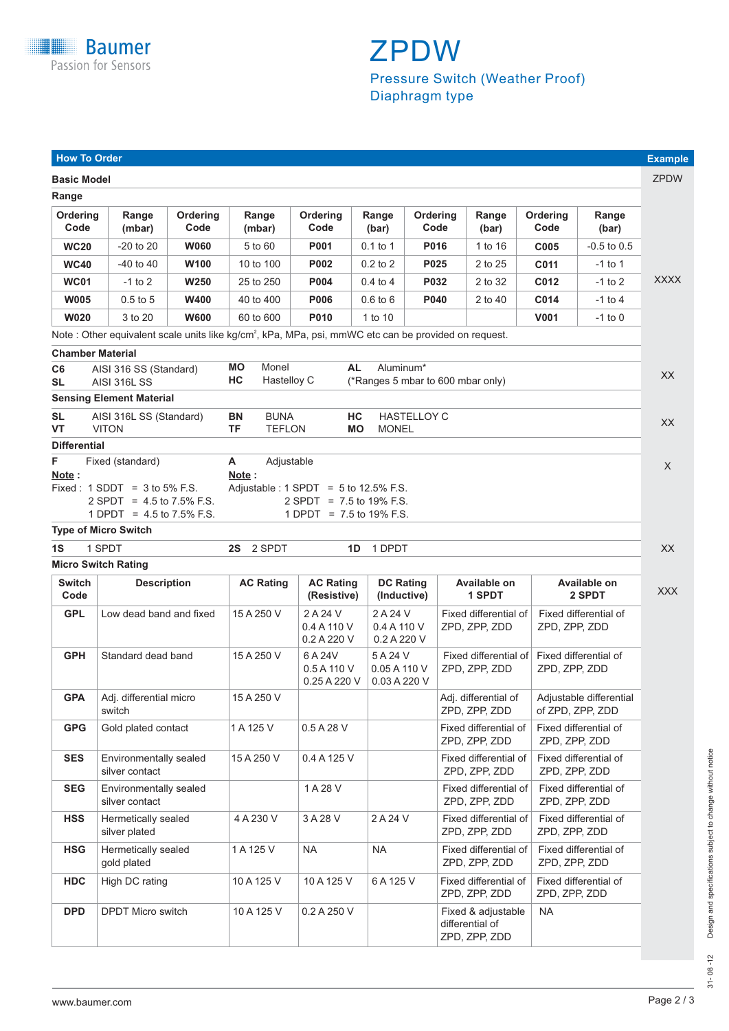

# Pressure Switch (Weather Proof) Diaphragm type

#### **Switch Description Code DC Rating (Inductive) AC Rating (Resistive) Available on 2 SPDT Available on 1 SPDT GPL AC Rating** Low dead band and fixed 15 A 250 V 2 A 24 V 2 A 24 V Fixed differential of Fixed differential of 0.4 A 110 V 0.4 A 110 V 2PD, ZPP, ZDD 0.2 A 220 V 0.2 A 220 V Standard dead band 15 A 250 V 6 A 24 V 5 A 24 V Fixed differential of Fixed differential of SA 24 V 7PD 7PD 7PD 7PD 7PP 7DD 0.5 A 110 V 0.05 A 110 V ZPD, ZPP, ZDD ZPD, ZPP, ZDD  $0.25A220V 0.03A220V$ **GPH GPA GPG** Adj. differential micro 15 A 250 V Adj. differential of Adjustable differential switch **Example 2018 State 2018** *ZPD, ZPP, ZDD* of ZPD, ZPP, ZDD Gold plated contact 1 A 125 V 0.5 A 28 V Fixed differential of Fixed differential of ZPD, ZPP, ZDD | ZPD, ZPP, ZDD Environmentally sealed 15 A 250 V 0.4 A 125 V Fixed differential of Fixed differential of Fixed differential of silver contact silver contact and a structure of the contact  $ZPD$ ,  $ZPD$ ,  $ZPD$ ,  $ZPD$ ,  $ZPD$ ,  $ZPD$ ,  $ZPD$ **SES SEG HSS HSG** Environmentally sealed 1 A 28 V Fixed differential of Fixed differential of Fixed differential of Fixed differential of  $ZPD$ . ZPD. ZPP. ZDD silver contact  $\overline{ZPD}$ ,  $\overline{ZPD}$ ,  $\overline{ZPD}$ ,  $\overline{ZPD}$ ,  $\overline{ZPD}$ ,  $\overline{ZPD}$ ,  $\overline{ZPD}$ ,  $\overline{ZPD}$ ,  $\overline{ZPD}$ ,  $\overline{ZPD}$ ,  $\overline{ZPD}$ ,  $\overline{ZPD}$ ,  $\overline{ZPD}$ ,  $\overline{ZPD}$ ,  $\overline{ZPD}$ ,  $\overline{ZPD}$ ,  $\overline{ZPD}$ ,  $\overline{ZPD}$ ,  $\overline{ZPD}$ Hermetically sealed  $4 A 230 V$  3 A 28 V 2 A 24 V Fixed differential of Fixed differential of silver plated **EXECUTE:**  $\begin{array}{|c|c|c|c|c|c|}\n\hline\n\text{2PD, ZPD, ZPP, ZDD} & \text{ZPD, ZPP, ZDD}\n\hline\n\end{array}$ Hermetically sealed 1 A 125 V NA NA Fixed differential of Fixed differential of pold plated and plated and plated and  $\frac{1}{2}$  TeD. ZPD. ZPD. ZPD. ZPP. ZDD **Micro Switch Rating Sensing Element Material BN** BUNA **TF** TEFLON **SL** AISI 316L SS (Standard) **VT** VITON **HC** HASTELLOY C **MO** MONEL **Type of Micro Switch 1S** 1 SPDT **2S** 2 SPDT **1D** 1 DPDT **Differential F** Fixed (standard) **A** Adjustable **Chamber Material MO** Monel **HC** Hastelloy C **C6** AISI 316 SS (Standard) **SL** AISI 316L SS **AL** Aluminum\* (\*Ranges 5 mbar to 600 mbar only) **Note :**  Fixed :  $1$  SDDT =  $3$  to  $5\%$  F.S. 2 SPDT = 4.5 to 7.5% F.S. 1 DPDT =  $4.5$  to  $7.5\%$  F.S. **Note :**  Adjustable :  $1$  SPDT = 5 to  $12.5\%$  F.S. 2 SPDT = 7.5 to 19% F.S. 1 DPDT = 7.5 to 19% F.S. **Basic Model Range** -20 to 20 -40 to 40 -1 to 2 0.5 to 5 3 to 20 **Range (mbar) WC20 WC40 WC01 W005 W020 Ordering Code** 5 to 60 10 to 100 25 to 250 40 to 400 60 to 600 **Range (mbar) W060 W100 W250 W400 W600 Ordering Code** -0.5 to 0.5 -1 to 1 -1 to 2 -1 to 4  $-1$  to  $0$ **Range (bar) C005 C011 C012 C014 V001 Ordering Code P001 P002 P004 P006 P010 Ordering Code P016 P025 P032 P040 Ordering Code** 0.1 to 1 0.2 to 2 0.4 to 4 0.6 to 6 1 to 10 **Range (bar)** 1 to 16 2 to 25 2 to 32 2 to 40 **Range (bar)** Note : Other equivalent scale units like kg/cm<sup>2</sup>, kPa, MPa, psi, mmWC etc can be provided on request. **How To Order Example**

DPDT Micro switch 10 A 125 V 0.2 A 250 V Fixed & adjustable NA

gold plated ZPD, ZPP, ZDD ZPD, ZPP, ZDD HDC High DC rating 10 A 125 V 10 A 125 V 6 A 125 V Fixed differential of Fixed differential of

> differential of ZPD, ZPP, ZDD

ZPD, ZPP, ZDD ZPD, ZPP, ZDD

31- 08 -12 Design and specifications subject to change without notice Design and specifications subject to change without notice  $\frac{1}{2}$ 08-

 $31$ -

**DPD**

High DC rating

ZPDW

**XXXX** 

XX

XX

X

XX

XXX